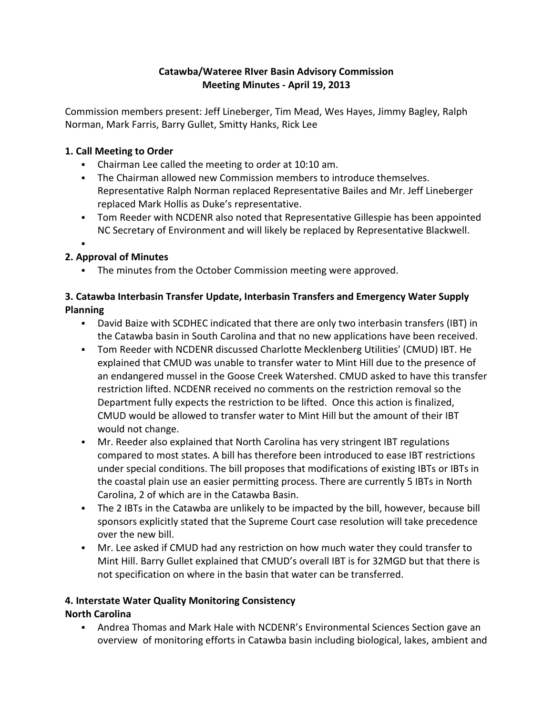## **Catawba/Wateree RIver Basin Advisory Commission Meeting Minutes - April 19, 2013**

Commission members present: Jeff Lineberger, Tim Mead, Wes Hayes, Jimmy Bagley, Ralph Norman, Mark Farris, Barry Gullet, Smitty Hanks, Rick Lee

## **1. Call Meeting to Order**

- Chairman Lee called the meeting to order at 10:10 am.
- The Chairman allowed new Commission members to introduce themselves. Representative Ralph Norman replaced Representative Bailes and Mr. Jeff Lineberger replaced Mark Hollis as Duke's representative.
- Tom Reeder with NCDENR also noted that Representative Gillespie has been appointed NC Secretary of Environment and will likely be replaced by Representative Blackwell.

#### : **2. Approval of Minutes**

**The minutes from the October Commission meeting were approved.** 

## **3. Catawba Interbasin Transfer Update, Interbasin Transfers and Emergency Water Supply Planning**

- David Baize with SCDHEC indicated that there are only two interbasin transfers (IBT) in the Catawba basin in South Carolina and that no new applications have been received.
- Tom Reeder with NCDENR discussed Charlotte Mecklenberg Utilities' (CMUD) IBT. He explained that CMUD was unable to transfer water to Mint Hill due to the presence of an endangered mussel in the Goose Creek Watershed. CMUD asked to have this transfer restriction lifted. NCDENR received no comments on the restriction removal so the Department fully expects the restriction to be lifted. Once this action is finalized, CMUD would be allowed to transfer water to Mint Hill but the amount of their IBT would not change.
- Mr. Reeder also explained that North Carolina has very stringent IBT regulations compared to most states. A bill has therefore been introduced to ease IBT restrictions under special conditions. The bill proposes that modifications of existing IBTs or IBTs in the coastal plain use an easier permitting process. There are currently 5 IBTs in North Carolina, 2 of which are in the Catawba Basin.
- The 2 IBTs in the Catawba are unlikely to be impacted by the bill, however, because bill sponsors explicitly stated that the Supreme Court case resolution will take precedence over the new bill.
- Mr. Lee asked if CMUD had any restriction on how much water they could transfer to Mint Hill. Barry Gullet explained that CMUD's overall IBT is for 32MGD but that there is not specification on where in the basin that water can be transferred.

#### **4. Interstate Water Quality Monitoring Consistency**

# **North Carolina**

 Andrea Thomas and Mark Hale with NCDENR's Environmental Sciences Section gave an overview of monitoring efforts in Catawba basin including biological, lakes, ambient and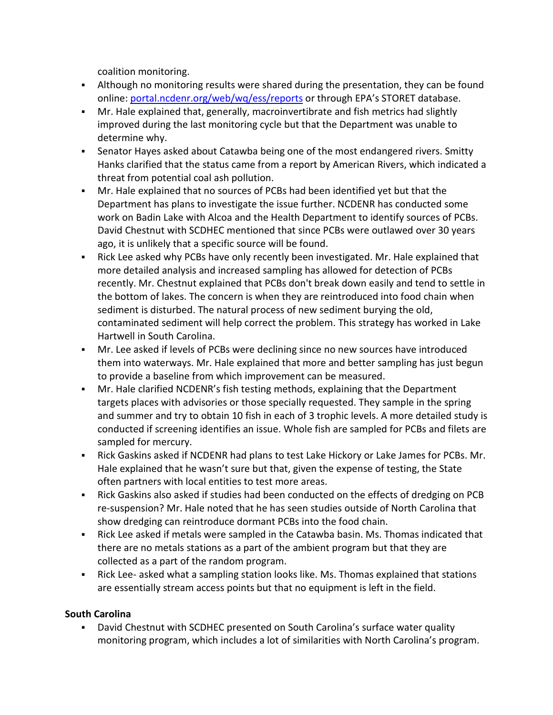coalition monitoring.

- Although no monitoring results were shared during the presentation, they can be found online: [portal.ncdenr.org/web/wq/ess/reports](http://portal.ncdenr.org/web/wq/ess/reports) or through EPA's STORET database.
- Mr. Hale explained that, generally, macroinvertibrate and fish metrics had slightly improved during the last monitoring cycle but that the Department was unable to determine why.
- Senator Hayes asked about Catawba being one of the most endangered rivers. Smitty Hanks clarified that the status came from a report by American Rivers, which indicated a threat from potential coal ash pollution.
- Mr. Hale explained that no sources of PCBs had been identified yet but that the Department has plans to investigate the issue further. NCDENR has conducted some work on Badin Lake with Alcoa and the Health Department to identify sources of PCBs. David Chestnut with SCDHEC mentioned that since PCBs were outlawed over 30 years ago, it is unlikely that a specific source will be found.
- Rick Lee asked why PCBs have only recently been investigated. Mr. Hale explained that more detailed analysis and increased sampling has allowed for detection of PCBs recently. Mr. Chestnut explained that PCBs don't break down easily and tend to settle in the bottom of lakes. The concern is when they are reintroduced into food chain when sediment is disturbed. The natural process of new sediment burying the old, contaminated sediment will help correct the problem. This strategy has worked in Lake Hartwell in South Carolina.
- Mr. Lee asked if levels of PCBs were declining since no new sources have introduced them into waterways. Mr. Hale explained that more and better sampling has just begun to provide a baseline from which improvement can be measured.
- Mr. Hale clarified NCDENR's fish testing methods, explaining that the Department targets places with advisories or those specially requested. They sample in the spring and summer and try to obtain 10 fish in each of 3 trophic levels. A more detailed study is conducted if screening identifies an issue. Whole fish are sampled for PCBs and filets are sampled for mercury.
- **EXECT AS ASSET ASSET ASSET ASSET ASSET ASSET ASSET I** Rickory or Lake James for PCBs. Mr. Hale explained that he wasn't sure but that, given the expense of testing, the State often partners with local entities to test more areas.
- Rick Gaskins also asked if studies had been conducted on the effects of dredging on PCB re-suspension? Mr. Hale noted that he has seen studies outside of North Carolina that show dredging can reintroduce dormant PCBs into the food chain.
- Rick Lee asked if metals were sampled in the Catawba basin. Ms. Thomas indicated that there are no metals stations as a part of the ambient program but that they are collected as a part of the random program.
- Rick Lee- asked what a sampling station looks like. Ms. Thomas explained that stations are essentially stream access points but that no equipment is left in the field.

# **South Carolina**

 David Chestnut with SCDHEC presented on South Carolina's surface water quality monitoring program, which includes a lot of similarities with North Carolina's program.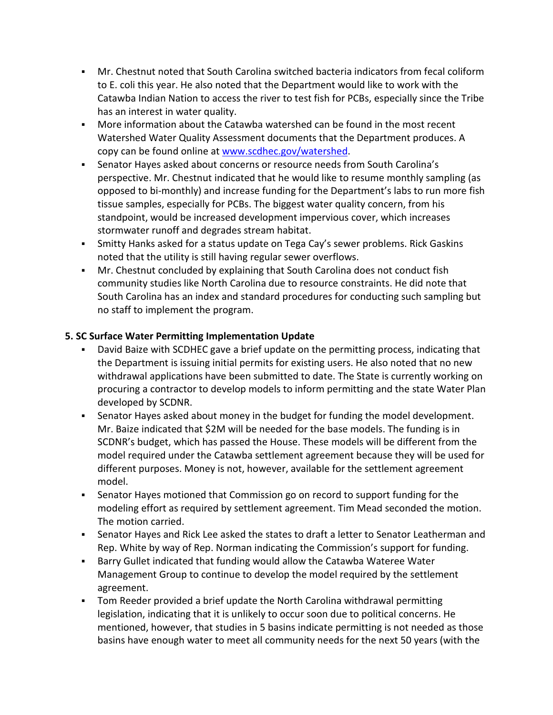- Mr. Chestnut noted that South Carolina switched bacteria indicators from fecal coliform to E. coli this year. He also noted that the Department would like to work with the Catawba Indian Nation to access the river to test fish for PCBs, especially since the Tribe has an interest in water quality.
- More information about the Catawba watershed can be found in the most recent Watershed Water Quality Assessment documents that the Department produces. A copy can be found online at www.scdhec.gov/watershed.
- Senator Hayes asked about concerns or resource needs from South Carolina's perspective. Mr. Chestnut indicated that he would like to resume monthly sampling (as opposed to bi-monthly) and increase funding for the Department's labs to run more fish tissue samples, especially for PCBs. The biggest water quality concern, from his standpoint, would be increased development impervious cover, which increases stormwater runoff and degrades stream habitat.
- Smitty Hanks asked for a status update on Tega Cay's sewer problems. Rick Gaskins noted that the utility is still having regular sewer overflows.
- Mr. Chestnut concluded by explaining that South Carolina does not conduct fish community studies like North Carolina due to resource constraints. He did note that South Carolina has an index and standard procedures for conducting such sampling but no staff to implement the program.

#### **5. SC Surface Water Permitting Implementation Update**

- David Baize with SCDHEC gave a brief update on the permitting process, indicating that the Department is issuing initial permits for existing users. He also noted that no new withdrawal applications have been submitted to date. The State is currently working on procuring a contractor to develop models to inform permitting and the state Water Plan developed by SCDNR.
- Senator Hayes asked about money in the budget for funding the model development. Mr. Baize indicated that \$2M will be needed for the base models. The funding is in SCDNR's budget, which has passed the House. These models will be different from the model required under the Catawba settlement agreement because they will be used for different purposes. Money is not, however, available for the settlement agreement model.
- Senator Hayes motioned that Commission go on record to support funding for the modeling effort as required by settlement agreement. Tim Mead seconded the motion. The motion carried.
- Senator Hayes and Rick Lee asked the states to draft a letter to Senator Leatherman and Rep. White by way of Rep. Norman indicating the Commission's support for funding.
- Barry Gullet indicated that funding would allow the Catawba Wateree Water Management Group to continue to develop the model required by the settlement agreement.
- Tom Reeder provided a brief update the North Carolina withdrawal permitting legislation, indicating that it is unlikely to occur soon due to political concerns. He mentioned, however, that studies in 5 basins indicate permitting is not needed as those basins have enough water to meet all community needs for the next 50 years (with the